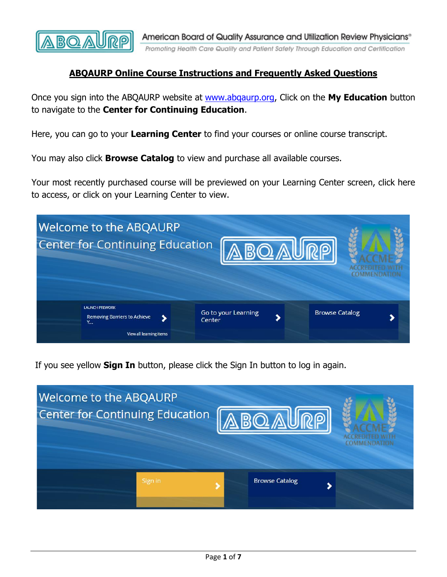

## **ABQAURP Online Course Instructions and Frequently Asked Questions**

Once you sign into the ABQAURP website at [www.abqaurp.org,](http://www.abqaurp.org/) Click on the **My Education** button to navigate to the **Center for Continuing Education**.

Here, you can go to your **Learning Center** to find your courses or online course transcript.

You may also click **Browse Catalog** to view and purchase all available courses.

Your most recently purchased course will be previewed on your Learning Center screen, click here to access, or click on your Learning Center to view.



If you see yellow **Sign In** button, please click the Sign In button to log in again.

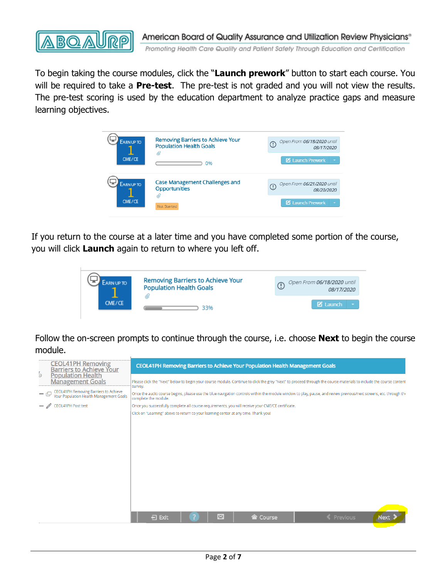

To begin taking the course modules, click the "**Launch prework**" button to start each course. You will be required to take a **Pre-test**. The pre-test is not graded and you will not view the results. The pre-test scoring is used by the education department to analyze practice gaps and measure learning objectives.

| Open From 06/18/2020 until<br>$\bigcirc$<br><i>08/17/2020</i>                                 |
|-----------------------------------------------------------------------------------------------|
| <b>Z</b> Launch Prework                                                                       |
| Open From 06/21/2020 until<br>$\left( \cdot \right)$<br>08/20/2020<br><b>Z</b> Launch Prework |
|                                                                                               |

If you return to the course at a later time and you have completed some portion of the course, you will click **Launch** again to return to where you left off.

| ARN UP TO | Removing Barriers to Achieve Your<br><b>Population Health Goals</b> | Open From 06/18/2020 until<br>08/17/2020 |
|-----------|---------------------------------------------------------------------|------------------------------------------|
| CME/CE    | 33%                                                                 | <b>Z</b> Launch                          |

Follow the on-screen prompts to continue through the course, i.e. choose **Next** to begin the course module.

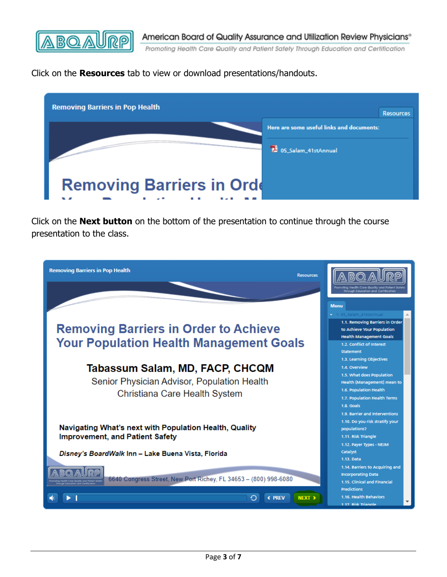

Click on the **Resources** tab to view or download presentations/handouts.



Click on the **Next button** on the bottom of the presentation to continue through the course presentation to the class.

| <b>Removing Barriers in Pop Health</b><br><b>Resources</b>                                                             |                                                                                                                                                                           |
|------------------------------------------------------------------------------------------------------------------------|---------------------------------------------------------------------------------------------------------------------------------------------------------------------------|
|                                                                                                                        | ough Education and Certificat                                                                                                                                             |
|                                                                                                                        | <b>Menu</b>                                                                                                                                                               |
| <b>Removing Barriers in Order to Achieve</b><br><b>Your Population Health Management Goals</b>                         | 1.05_Salam_41stAnnual<br>1.1. Removing Barriers in Order<br>to Achieve Your Population<br><b>Health Management Goals</b><br>1.2. Conflict of Interest<br><b>Statement</b> |
| Tabassum Salam, MD, FACP, CHCQM                                                                                        | 1.3. Learning Objectives<br>1.4. Overview                                                                                                                                 |
| Senior Physician Advisor, Population Health<br>Christiana Care Health System                                           | 1.5. What does Population<br>Health [Management] mean to<br>1.6. Population Health<br>1.7. Population Health Terms<br>1.8. Goals                                          |
| Navigating What's next with Population Health, Quality<br><b>Improvement, and Patient Safety</b>                       | 1.9. Barrier and Interventions<br>1.10. Do you risk stratify your<br>populations?<br>1.11. Risk Triangle<br>1.12. Payer Types - NEJM<br>Catalyst                          |
| Disney's BoardWalk Inn - Lake Buena Vista, Florida<br>6640 Congress Street, New Port Richey, FL 34653 - (800) 998-6080 | 1.13. Data<br>1.14. Barriers to Acquiring and<br><b>Incorporating Data</b><br>1.15. Clinical and Financial                                                                |
| <b>C PREV</b><br>NEXT <sub>3</sub>                                                                                     | <b>Predictions</b><br>1.16. Health Behaviors<br>1 17 Risk Triangle                                                                                                        |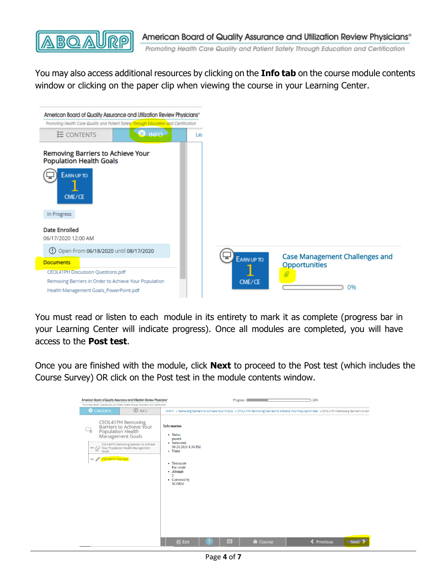

You may also access additional resources by clicking on the **Info tab** on the course module contents window or clicking on the paper clip when viewing the course in your Learning Center.



You must read or listen to each module in its entirety to mark it as complete (progress bar in your Learning Center will indicate progress). Once all modules are completed, you will have access to the **Post test**.

Once you are finished with the module, click **Next** to proceed to the Post test (which includes the Course Survey) OR click on the Post test in the module contents window.

| American Board of Quality Assurance and Utilization Review Physicians®                                                                                                                                                                        |               |                                                                                                                                                                                       | Progress (                     | 33%               |             |
|-----------------------------------------------------------------------------------------------------------------------------------------------------------------------------------------------------------------------------------------------|---------------|---------------------------------------------------------------------------------------------------------------------------------------------------------------------------------------|--------------------------------|-------------------|-------------|
| Promoting Health Care Quality and Patient Safety Through Education and Certification                                                                                                                                                          |               |                                                                                                                                                                                       |                                |                   |             |
| CONTENTS                                                                                                                                                                                                                                      | <b>J</b> INFO | Learni > Removing Barriers to Achieve Your Popula > CEOL41PH Removing Barriers to Achieve Your Population Hea > CEOL41PH Removing Barriers to Ach                                     |                                |                   |             |
| CEOL41PH Removing<br>Barriers to Achieve Your<br>Population Health<br><b>Management Goals</b><br>CEOL41PH Removing Barriers to Achieve<br>Your Population Health Management<br>Goals<br><b>CEOL41PH Post test</b><br>$\overline{\phantom{a}}$ |               | <b>Information</b><br>• Status<br>passed<br>• Submitted<br>06/21/2020 8:36 PM<br>• Name<br>• Test mode<br>For credit<br>- Attempt<br>$\overline{2}$<br>• Corrected by<br><b>SCORM</b> |                                |                   |             |
|                                                                                                                                                                                                                                               |               |                                                                                                                                                                                       |                                |                   |             |
|                                                                                                                                                                                                                                               |               |                                                                                                                                                                                       |                                |                   |             |
|                                                                                                                                                                                                                                               |               |                                                                                                                                                                                       |                                |                   |             |
|                                                                                                                                                                                                                                               |               | 日 Exit                                                                                                                                                                                | 図<br><b><sup> Course</sup></b> | <b>≮</b> Previous | <b>Next</b> |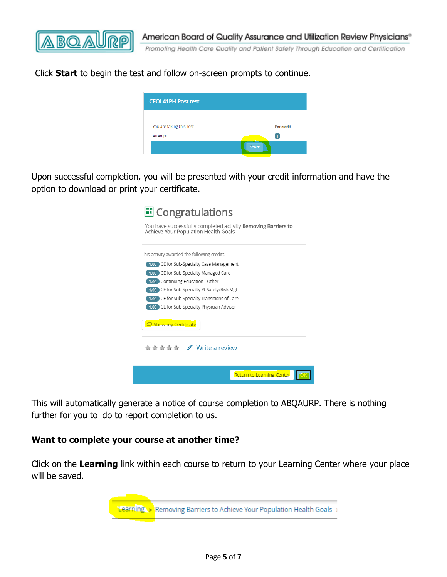

Click **Start** to begin the test and follow on-screen prompts to continue.

| <b>CEOL41PH Post test</b> |                   |
|---------------------------|-------------------|
| You are taking this Test  | <b>For credit</b> |
| Attempt                   |                   |
|                           | Start             |

Upon successful completion, you will be presented with your credit information and have the option to download or print your certificate.

| il Congratulations                                                                                     |
|--------------------------------------------------------------------------------------------------------|
| You have successfully completed activity Removing Barriers to<br>Achieve Your Population Health Goals. |
| This activity awarded the following credits:                                                           |
| 1.00 CE for Sub-Specialty Case Management                                                              |
| 1.00 CE for Sub-Specialty Managed Care                                                                 |
| 1.00 Continuing Education - Other                                                                      |
| 1.00 CE for Sub-Specialty Pt Safety/Risk Mgt                                                           |
| 1.00 CE for Sub-Specialty Transitions of Care                                                          |
| 1.00 CE for Sub-Specialty Physician Advisor                                                            |
| Show my Certificate                                                                                    |
| <del>★★★★★</del> / Write a review                                                                      |
| <b>Return to Learning Center</b>                                                                       |

This will automatically generate a notice of course completion to ABQAURP. There is nothing further for you to do to report completion to us.

#### **Want to complete your course at another time?**

Click on the **Learning** link within each course to return to your Learning Center where your place will be saved.

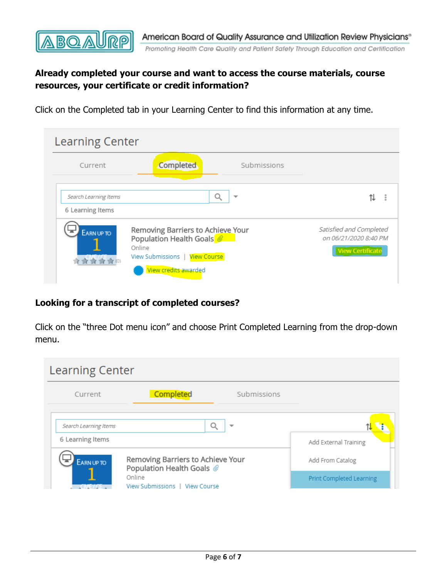

# **Already completed your course and want to access the course materials, course resources, your certificate or credit information?**

Click on the Completed tab in your Learning Center to find this information at any time.

| <b>Learning Center</b>                    |                                                                                                                                                 |                                                                             |  |
|-------------------------------------------|-------------------------------------------------------------------------------------------------------------------------------------------------|-----------------------------------------------------------------------------|--|
| Current                                   | Completed<br>Submissions                                                                                                                        |                                                                             |  |
| Search Learning Items<br>6 Learning Items | Q                                                                                                                                               | 11                                                                          |  |
| <b>EARN UP TO</b><br>营营营(0)               | Removing Barriers to Achieve Your<br>Population Health Goals<br>Online<br><b>View Course</b><br><b>View Submissions</b><br>View credits awarded | Satisfied and Completed<br>on 06/21/2020 8:40 PM<br><b>View Certificate</b> |  |

## **Looking for a transcript of completed courses?**

Click on the "three Dot menu icon" and choose Print Completed Learning from the drop-down menu.

| <b>Learning Center</b>                                                                        |           |             |                                              |
|-----------------------------------------------------------------------------------------------|-----------|-------------|----------------------------------------------|
| Current                                                                                       | Completed | Submissions |                                              |
| Search Learning Items<br>6 Learning Items                                                     |           | ▼           | Add External Training                        |
| Removing Barriers to Achieve Your<br><b>EARN UP TO</b><br>Population Health Goals @<br>Online |           |             | Add From Catalog<br>Print Completed Learning |